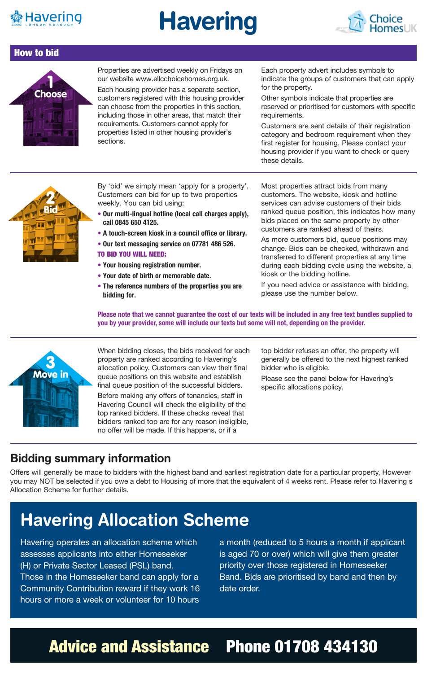

## **Havering**



#### How to bid



Properties are advertised weekly on Fridays on our website www.ellcchoicehomes.org.uk.

Each housing provider has a separate section, customers registered with this housing provider can choose from the properties in this section, including those in other areas, that match their requirements. Customers cannot apply for properties listed in other housing provider's sections.

Each property advert includes symbols to indicate the groups of customers that can apply for the property.

Other symbols indicate that properties are reserved or prioritised for customers with specific requirements.

Customers are sent details of their registration category and bedroom requirement when they first register for housing. Please contact your housing provider if you want to check or query these details.



By 'bid' we simply mean 'apply for a property'. Customers can bid for up to two properties weekly. You can bid using:

- **• Our multi-lingual hotline (local call charges apply), call 0845 650 4125.**
- **A touch-screen kiosk in a council office or library.**
- **• Our text messaging service on 07781 486 526.**

#### TO BID YOU WILL NEED:

- **• Your housing registration number.**
- **• Your date of birth or memorable date.**
- **• The reference numbers of the properties you are bidding for.**

Most properties attract bids from many customers. The website, kiosk and hotline services can advise customers of their bids ranked queue position, this indicates how many bids placed on the same property by other customers are ranked ahead of theirs.

As more customers bid, queue positions may change. Bids can be checked, withdrawn and transferred to different properties at any time during each bidding cycle using the website, a kiosk or the bidding hotline.

If you need advice or assistance with bidding, please use the number below.

**Please note that we cannot guarantee the cost of our texts will be included in any free text bundles supplied to you by your provider, some will include our texts but some will not, depending on the provider.**



When bidding closes, the bids received for each property are ranked according to Havering's allocation policy. Customers can view their final queue positions on this website and establish final queue position of the successful bidders.

Before making any offers of tenancies, staff in Havering Council will check the eligibility of the top ranked bidders. If these checks reveal that bidders ranked top are for any reason ineligible, no offer will be made. If this happens, or if a

top bidder refuses an offer, the property will generally be offered to the next highest ranked bidder who is eligible.

Please see the panel below for Havering's specific allocations policy.

### **Bidding summary information**

Offers will generally be made to bidders with the highest band and earliest registration date for a particular property, However you may NOT be selected if you owe a debt to Housing of more that the equivalent of 4 weeks rent. Please refer to Havering's Allocation Scheme for further details.

### **Havering Allocation Scheme**

Havering operates an allocation scheme which assesses applicants into either Homeseeker (H) or Private Sector Leased (PSL) band. Those in the Homeseeker band can apply for a Community Contribution reward if they work 16 hours or more a week or volunteer for 10 hours

a month (reduced to 5 hours a month if applicant is aged 70 or over) which will give them greater priority over those registered in Homeseeker Band. Bids are prioritised by band and then by date order.

### Advice and Assistance Phone 01708 434130